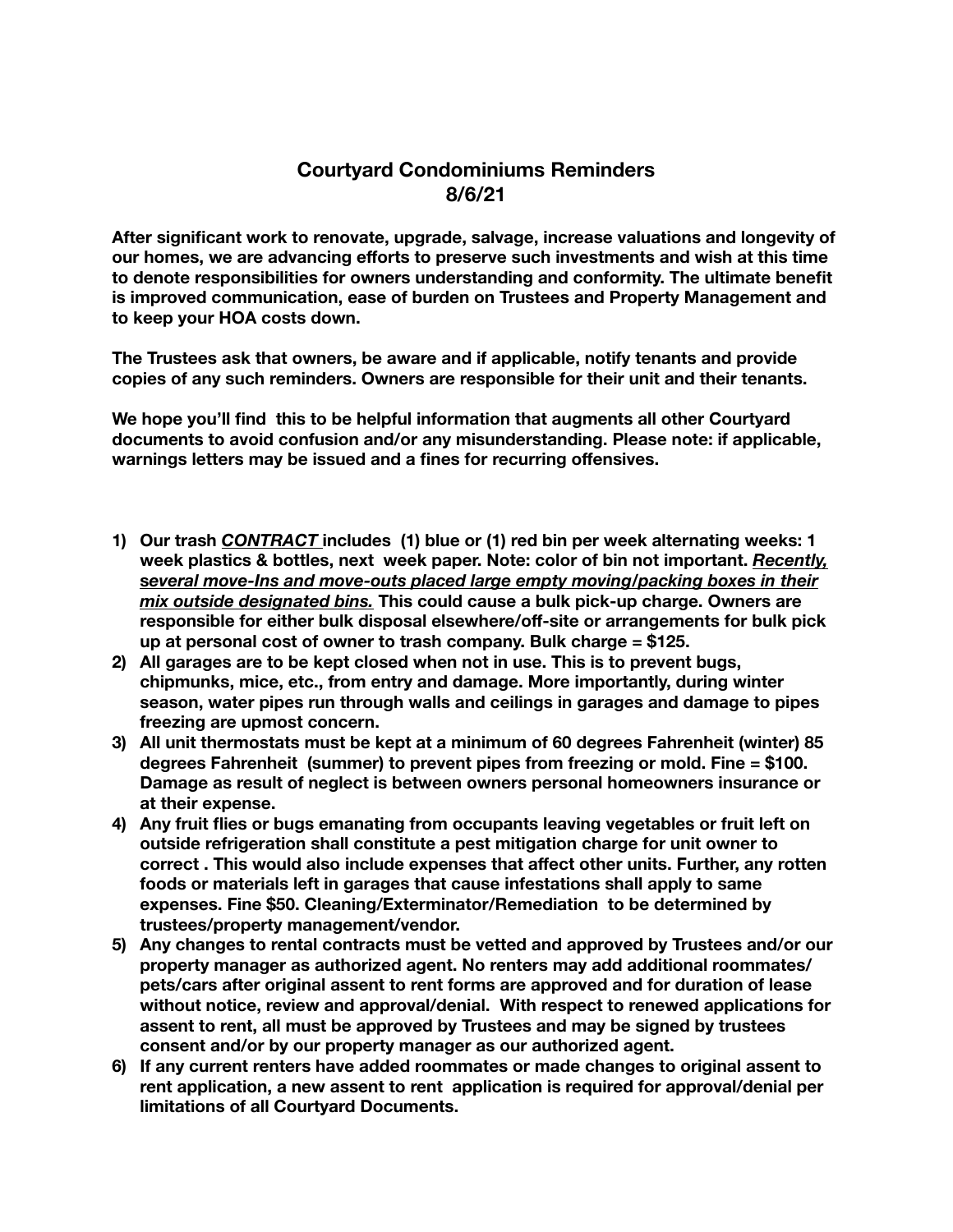## **Courtyard Condominiums Reminders 8/6/21**

**After significant work to renovate, upgrade, salvage, increase valuations and longevity of our homes, we are advancing efforts to preserve such investments and wish at this time to denote responsibilities for owners understanding and conformity. The ultimate benefit is improved communication, ease of burden on Trustees and Property Management and to keep your HOA costs down.** 

**The Trustees ask that owners, be aware and if applicable, notify tenants and provide copies of any such reminders. Owners are responsible for their unit and their tenants.** 

**We hope you'll find this to be helpful information that augments all other Courtyard documents to avoid confusion and/or any misunderstanding. Please note: if applicable, warnings letters may be issued and a fines for recurring offensives.** 

- **1) Our trash** *CONTRACT* **includes (1) blue or (1) red bin per week alternating weeks: 1 week plastics & bottles, next week paper. Note: color of bin not important.** *Recently,*  **s***everal move-Ins and move-outs placed large empty moving/packing boxes in their mix outside designated bins.* **This could cause a bulk pick-up charge. Owners are responsible for either bulk disposal elsewhere/off-site or arrangements for bulk pick up at personal cost of owner to trash company. Bulk charge = \$125.**
- **2) All garages are to be kept closed when not in use. This is to prevent bugs, chipmunks, mice, etc., from entry and damage. More importantly, during winter season, water pipes run through walls and ceilings in garages and damage to pipes freezing are upmost concern.**
- **3) All unit thermostats must be kept at a minimum of 60 degrees Fahrenheit (winter) 85 degrees Fahrenheit (summer) to prevent pipes from freezing or mold. Fine = \$100. Damage as result of neglect is between owners personal homeowners insurance or at their expense.**
- **4) Any fruit flies or bugs emanating from occupants leaving vegetables or fruit left on outside refrigeration shall constitute a pest mitigation charge for unit owner to correct . This would also include expenses that affect other units. Further, any rotten foods or materials left in garages that cause infestations shall apply to same expenses. Fine \$50. Cleaning/Exterminator/Remediation to be determined by trustees/property management/vendor.**
- **5) Any changes to rental contracts must be vetted and approved by Trustees and/or our property manager as authorized agent. No renters may add additional roommates/ pets/cars after original assent to rent forms are approved and for duration of lease without notice, review and approval/denial. With respect to renewed applications for assent to rent, all must be approved by Trustees and may be signed by trustees consent and/or by our property manager as our authorized agent.**
- **6) If any current renters have added roommates or made changes to original assent to rent application, a new assent to rent application is required for approval/denial per limitations of all Courtyard Documents.**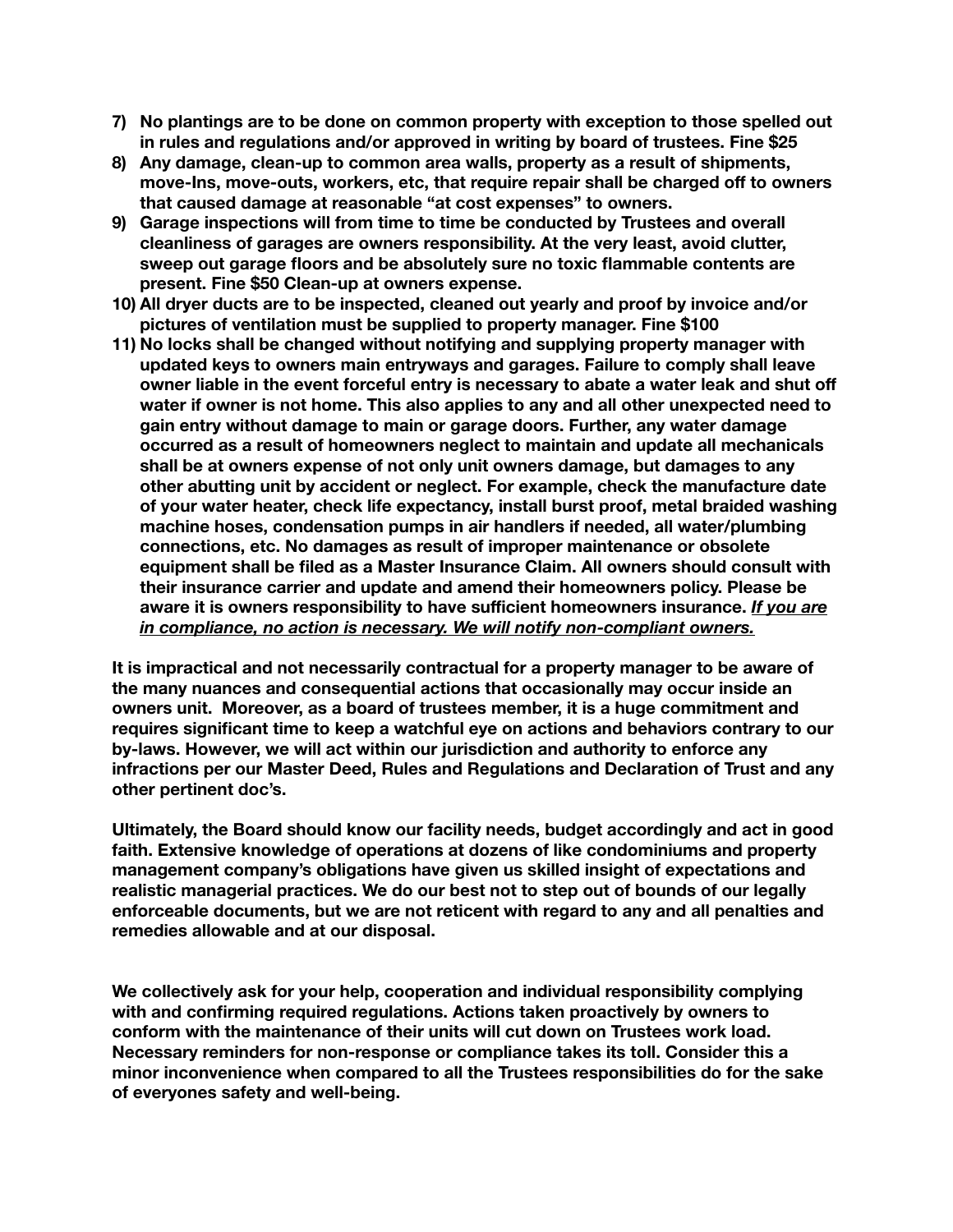- **7) No plantings are to be done on common property with exception to those spelled out in rules and regulations and/or approved in writing by board of trustees. Fine \$25**
- **8) Any damage, clean-up to common area walls, property as a result of shipments, move-Ins, move-outs, workers, etc, that require repair shall be charged off to owners that caused damage at reasonable "at cost expenses" to owners.**
- **9) Garage inspections will from time to time be conducted by Trustees and overall cleanliness of garages are owners responsibility. At the very least, avoid clutter, sweep out garage floors and be absolutely sure no toxic flammable contents are present. Fine \$50 Clean-up at owners expense.**
- **10) All dryer ducts are to be inspected, cleaned out yearly and proof by invoice and/or pictures of ventilation must be supplied to property manager. Fine \$100**
- **11) No locks shall be changed without notifying and supplying property manager with updated keys to owners main entryways and garages. Failure to comply shall leave owner liable in the event forceful entry is necessary to abate a water leak and shut off water if owner is not home. This also applies to any and all other unexpected need to gain entry without damage to main or garage doors. Further, any water damage occurred as a result of homeowners neglect to maintain and update all mechanicals shall be at owners expense of not only unit owners damage, but damages to any other abutting unit by accident or neglect. For example, check the manufacture date of your water heater, check life expectancy, install burst proof, metal braided washing machine hoses, condensation pumps in air handlers if needed, all water/plumbing connections, etc. No damages as result of improper maintenance or obsolete equipment shall be filed as a Master Insurance Claim. All owners should consult with their insurance carrier and update and amend their homeowners policy. Please be aware it is owners responsibility to have sufficient homeowners insurance.** *If you are in compliance, no action is necessary. We will notify non-compliant owners.*

**It is impractical and not necessarily contractual for a property manager to be aware of the many nuances and consequential actions that occasionally may occur inside an owners unit. Moreover, as a board of trustees member, it is a huge commitment and requires significant time to keep a watchful eye on actions and behaviors contrary to our by-laws. However, we will act within our jurisdiction and authority to enforce any infractions per our Master Deed, Rules and Regulations and Declaration of Trust and any other pertinent doc's.** 

**Ultimately, the Board should know our facility needs, budget accordingly and act in good faith. Extensive knowledge of operations at dozens of like condominiums and property management company's obligations have given us skilled insight of expectations and realistic managerial practices. We do our best not to step out of bounds of our legally enforceable documents, but we are not reticent with regard to any and all penalties and remedies allowable and at our disposal.** 

**We collectively ask for your help, cooperation and individual responsibility complying with and confirming required regulations. Actions taken proactively by owners to conform with the maintenance of their units will cut down on Trustees work load. Necessary reminders for non-response or compliance takes its toll. Consider this a minor inconvenience when compared to all the Trustees responsibilities do for the sake of everyones safety and well-being.**